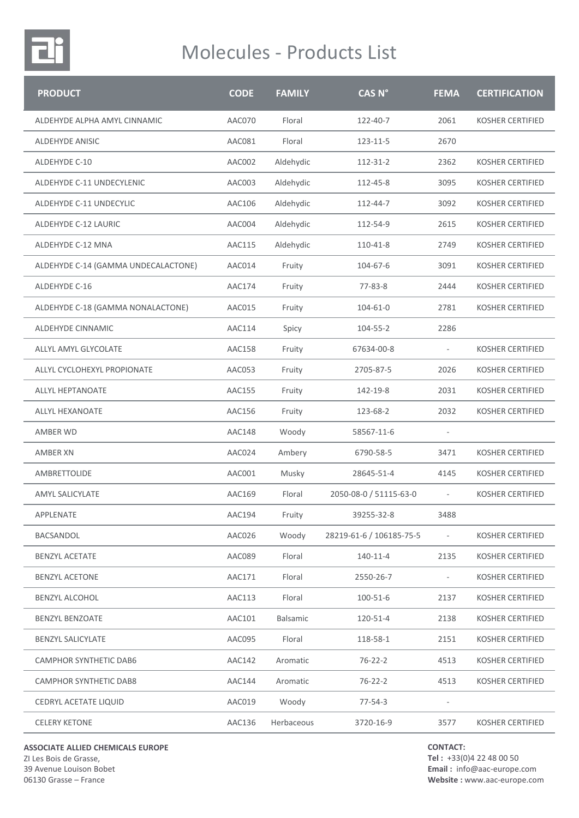

| <b>PRODUCT</b>                      | <b>CODE</b>   | <b>FAMILY</b> | CAS <sub>N°</sub>        | <b>FEMA</b>              | <b>CERTIFICATION</b>    |
|-------------------------------------|---------------|---------------|--------------------------|--------------------------|-------------------------|
| ALDEHYDE ALPHA AMYL CINNAMIC        | AAC070        | Floral        | 122-40-7                 | 2061                     | <b>KOSHER CERTIFIED</b> |
| <b>ALDEHYDE ANISIC</b>              | AAC081        | Floral        | 123-11-5                 | 2670                     |                         |
| ALDEHYDE C-10                       | AAC002        | Aldehydic     | 112-31-2                 | 2362                     | <b>KOSHER CERTIFIED</b> |
| ALDEHYDE C-11 UNDECYLENIC           | AAC003        | Aldehydic     | 112-45-8                 | 3095                     | <b>KOSHER CERTIFIED</b> |
| ALDEHYDE C-11 UNDECYLIC             | AAC106        | Aldehydic     | 112-44-7                 | 3092                     | <b>KOSHER CERTIFIED</b> |
| ALDEHYDE C-12 LAURIC                | AAC004        | Aldehydic     | 112-54-9                 | 2615                     | <b>KOSHER CERTIFIED</b> |
| ALDEHYDE C-12 MNA                   | AAC115        | Aldehydic     | 110-41-8                 | 2749                     | <b>KOSHER CERTIFIED</b> |
| ALDEHYDE C-14 (GAMMA UNDECALACTONE) | AAC014        | Fruity        | 104-67-6                 | 3091                     | <b>KOSHER CERTIFIED</b> |
| ALDEHYDE C-16                       | AAC174        | Fruity        | $77 - 83 - 8$            | 2444                     | <b>KOSHER CERTIFIED</b> |
| ALDEHYDE C-18 (GAMMA NONALACTONE)   | AAC015        | Fruity        | 104-61-0                 | 2781                     | <b>KOSHER CERTIFIED</b> |
| ALDEHYDE CINNAMIC                   | AAC114        | Spicy         | 104-55-2                 | 2286                     |                         |
| ALLYL AMYL GLYCOLATE                | AAC158        | Fruity        | 67634-00-8               |                          | <b>KOSHER CERTIFIED</b> |
| ALLYL CYCLOHEXYL PROPIONATE         | AAC053        | Fruity        | 2705-87-5                | 2026                     | <b>KOSHER CERTIFIED</b> |
| <b>ALLYL HEPTANOATE</b>             | AAC155        | Fruity        | 142-19-8                 | 2031                     | <b>KOSHER CERTIFIED</b> |
| ALLYL HEXANOATE                     | AAC156        | Fruity        | 123-68-2                 | 2032                     | <b>KOSHER CERTIFIED</b> |
| AMBER WD                            | <b>AAC148</b> | Woody         | 58567-11-6               |                          |                         |
| <b>AMBER XN</b>                     | AAC024        | Ambery        | 6790-58-5                | 3471                     | <b>KOSHER CERTIFIED</b> |
| AMBRETTOLIDE                        | AAC001        | Musky         | 28645-51-4               | 4145                     | <b>KOSHER CERTIFIED</b> |
| <b>AMYL SALICYLATE</b>              | AAC169        | Floral        | 2050-08-0 / 51115-63-0   | $\overline{\phantom{a}}$ | <b>KOSHER CERTIFIED</b> |
| APPLENATE                           | AAC194        | Fruity        | 39255-32-8               | 3488                     |                         |
| BACSANDOL                           | AAC026        | Woody         | 28219-61-6 / 106185-75-5 | $\sim$                   | <b>KOSHER CERTIFIED</b> |
| <b>BENZYL ACETATE</b>               | AAC089        | Floral        | 140-11-4                 | 2135                     | <b>KOSHER CERTIFIED</b> |
| <b>BENZYL ACETONE</b>               | AAC171        | Floral        | 2550-26-7                | $\overline{\phantom{a}}$ | <b>KOSHER CERTIFIED</b> |
| <b>BENZYL ALCOHOL</b>               | AAC113        | Floral        | 100-51-6                 | 2137                     | <b>KOSHER CERTIFIED</b> |
| <b>BENZYL BENZOATE</b>              | AAC101        | Balsamic      | 120-51-4                 | 2138                     | <b>KOSHER CERTIFIED</b> |
| <b>BENZYL SALICYLATE</b>            | AAC095        | Floral        | 118-58-1                 | 2151                     | <b>KOSHER CERTIFIED</b> |
| CAMPHOR SYNTHETIC DAB6              | AAC142        | Aromatic      | $76 - 22 - 2$            | 4513                     | KOSHER CERTIFIED        |
| CAMPHOR SYNTHETIC DAB8              | AAC144        | Aromatic      | $76 - 22 - 2$            | 4513                     | KOSHER CERTIFIED        |
| CEDRYL ACETATE LIQUID               | AAC019        | Woody         | $77 - 54 - 3$            |                          |                         |
| <b>CELERY KETONE</b>                | AAC136        | Herbaceous    | 3720-16-9                | 3577                     | <b>KOSHER CERTIFIED</b> |

**ASSOCIATE ALLIED CHEMICALS EUROPE**

ZI Les Bois de Grasse, 39 Avenue Louison Bobet 06130 Grasse – France

**CONTACT:**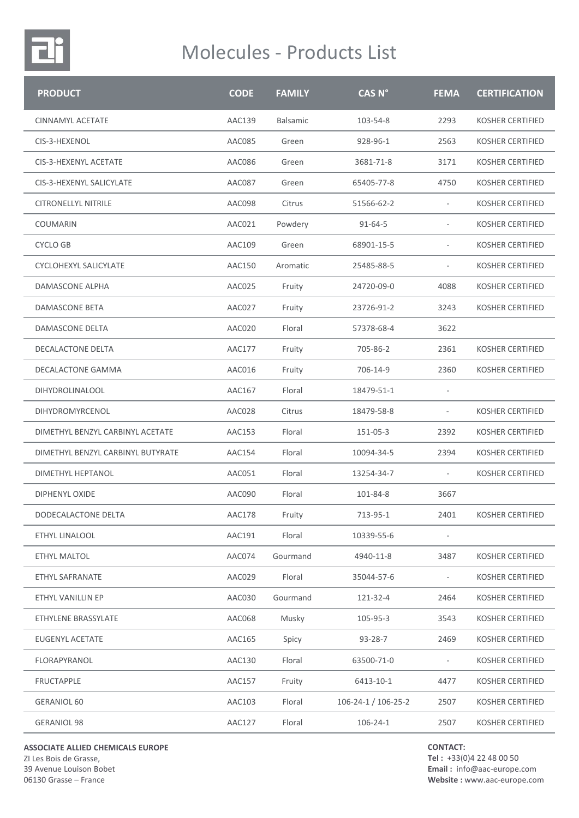

| <b>PRODUCT</b>                    | <b>CODE</b>   | <b>FAMILY</b>   | CAS <sub>N°</sub>             | <b>FEMA</b>              | <b>CERTIFICATION</b>    |
|-----------------------------------|---------------|-----------------|-------------------------------|--------------------------|-------------------------|
| <b>CINNAMYL ACETATE</b>           | <b>AAC139</b> | <b>Balsamic</b> | 103-54-8                      | 2293                     | <b>KOSHER CERTIFIED</b> |
| CIS-3-HEXENOL                     | AAC085        | Green           | 928-96-1                      | 2563                     | <b>KOSHER CERTIFIED</b> |
| CIS-3-HEXENYL ACETATE             | AAC086        | Green           | 3681-71-8                     | 3171                     | <b>KOSHER CERTIFIED</b> |
| CIS-3-HEXENYL SALICYLATE          | AAC087        | Green           | 65405-77-8                    | 4750                     | <b>KOSHER CERTIFIED</b> |
| <b>CITRONELLYL NITRILE</b>        | AAC098        | Citrus          | 51566-62-2                    | $\overline{\phantom{0}}$ | <b>KOSHER CERTIFIED</b> |
| COUMARIN                          | AAC021        | Powdery         | $91 - 64 - 5$                 | $\overline{\phantom{a}}$ | <b>KOSHER CERTIFIED</b> |
| <b>CYCLO GB</b>                   | AAC109        | Green           | 68901-15-5                    |                          | <b>KOSHER CERTIFIED</b> |
| CYCLOHEXYL SALICYLATE             | AAC150        | Aromatic        | 25485-88-5                    | $\overline{\phantom{0}}$ | <b>KOSHER CERTIFIED</b> |
| DAMASCONE ALPHA                   | AAC025        | Fruity          | 24720-09-0                    | 4088                     | <b>KOSHER CERTIFIED</b> |
| DAMASCONE BETA                    | AAC027        | Fruity          | 23726-91-2                    | 3243                     | <b>KOSHER CERTIFIED</b> |
| <b>DAMASCONE DELTA</b>            | AAC020        | Floral          | 57378-68-4                    | 3622                     |                         |
| <b>DECALACTONE DELTA</b>          | AAC177        | Fruity          | 705-86-2                      | 2361                     | <b>KOSHER CERTIFIED</b> |
| DECALACTONE GAMMA                 | AAC016        | Fruity          | 706-14-9                      | 2360                     | <b>KOSHER CERTIFIED</b> |
| DIHYDROLINALOOL                   | AAC167        | Floral          | 18479-51-1                    |                          |                         |
| DIHYDROMYRCENOL                   | AAC028        | Citrus          | 18479-58-8                    | $\overline{\phantom{a}}$ | <b>KOSHER CERTIFIED</b> |
| DIMETHYL BENZYL CARBINYL ACETATE  | AAC153        | Floral          | 151-05-3                      | 2392                     | <b>KOSHER CERTIFIED</b> |
| DIMETHYL BENZYL CARBINYL BUTYRATE | AAC154        | Floral          | 10094-34-5                    | 2394                     | <b>KOSHER CERTIFIED</b> |
| <b>DIMETHYL HEPTANOL</b>          | AAC051        | Floral          | 13254-34-7                    | ÷.                       | <b>KOSHER CERTIFIED</b> |
| <b>DIPHENYL OXIDE</b>             | AAC090        | Floral          | 101-84-8                      | 3667                     |                         |
| DODECALACTONE DELTA               | AAC178        | Fruity          | 713-95-1                      | 2401                     | <b>KOSHER CERTIFIED</b> |
| ETHYL LINALOOL                    | AAC191        | Floral          | 10339-55-6                    |                          |                         |
| ETHYL MALTOL                      | AAC074        | Gourmand        | 4940-11-8                     | 3487                     | <b>KOSHER CERTIFIED</b> |
| ETHYL SAFRANATE                   | AAC029        | Floral          | 35044-57-6                    |                          | KOSHER CERTIFIED        |
| ETHYL VANILLIN EP                 | AAC030        | Gourmand        | 121-32-4                      | 2464                     | <b>KOSHER CERTIFIED</b> |
| ETHYLENE BRASSYLATE               | AAC068        | Musky           | 105-95-3                      | 3543                     | <b>KOSHER CERTIFIED</b> |
| <b>EUGENYL ACETATE</b>            | AAC165        | Spicy           | $93 - 28 - 7$                 | 2469                     | <b>KOSHER CERTIFIED</b> |
| FLORAPYRANOL                      | AAC130        | Floral          | 63500-71-0                    |                          | KOSHER CERTIFIED        |
| <b>FRUCTAPPLE</b>                 | AAC157        | Fruity          | 6413-10-1                     | 4477                     | <b>KOSHER CERTIFIED</b> |
| <b>GERANIOL 60</b>                | AAC103        | Floral          | $106 - 24 - 1 / 106 - 25 - 2$ | 2507                     | <b>KOSHER CERTIFIED</b> |
| <b>GERANIOL 98</b>                | AAC127        | Floral          | $106 - 24 - 1$                | 2507                     | KOSHER CERTIFIED        |

**ASSOCIATE ALLIED CHEMICALS EUROPE** ZI Les Bois de Grasse,

39 Avenue Louison Bobet 06130 Grasse – France

**CONTACT:**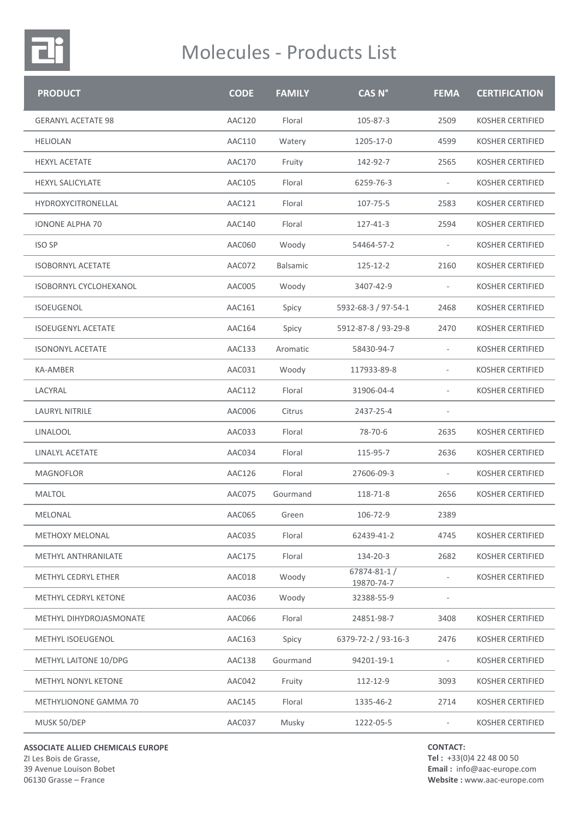

| <b>PRODUCT</b>                | <b>CODE</b>   | <b>FAMILY</b> | <b>CAS N°</b>                  | <b>FEMA</b>                 | <b>CERTIFICATION</b>    |
|-------------------------------|---------------|---------------|--------------------------------|-----------------------------|-------------------------|
| <b>GERANYL ACETATE 98</b>     | <b>AAC120</b> | Floral        | 105-87-3                       | 2509                        | <b>KOSHER CERTIFIED</b> |
| <b>HELIOLAN</b>               | AAC110        | Watery        | 1205-17-0                      | 4599                        | <b>KOSHER CERTIFIED</b> |
| <b>HEXYL ACETATE</b>          | AAC170        | Fruity        | 142-92-7                       | 2565                        | <b>KOSHER CERTIFIED</b> |
| <b>HEXYL SALICYLATE</b>       | AAC105        | Floral        | 6259-76-3                      | $\overline{\phantom{a}}$    | <b>KOSHER CERTIFIED</b> |
| HYDROXYCITRONELLAL            | AAC121        | Floral        | 107-75-5                       | 2583                        | <b>KOSHER CERTIFIED</b> |
| <b>IONONE ALPHA 70</b>        | AAC140        | Floral        | 127-41-3                       | 2594                        | <b>KOSHER CERTIFIED</b> |
| <b>ISO SP</b>                 | AAC060        | Woody         | 54464-57-2                     | $\overline{\phantom{a}}$    | KOSHER CERTIFIED        |
| <b>ISOBORNYL ACETATE</b>      | AAC072        | Balsamic      | 125-12-2                       | 2160                        | <b>KOSHER CERTIFIED</b> |
| <b>ISOBORNYL CYCLOHEXANOL</b> | AAC005        | Woody         | 3407-42-9                      | $\overline{\phantom{a}}$    | <b>KOSHER CERTIFIED</b> |
| <b>ISOEUGENOL</b>             | AAC161        | Spicy         | 5932-68-3 / 97-54-1            | 2468                        | <b>KOSHER CERTIFIED</b> |
| <b>ISOEUGENYL ACETATE</b>     | AAC164        | Spicy         | 5912-87-8 / 93-29-8            | 2470                        | <b>KOSHER CERTIFIED</b> |
| <b>ISONONYL ACETATE</b>       | AAC133        | Aromatic      | 58430-94-7                     | $\overline{\phantom{a}}$    | <b>KOSHER CERTIFIED</b> |
| KA-AMBER                      | AAC031        | Woody         | 117933-89-8                    | $\overline{\phantom{a}}$    | <b>KOSHER CERTIFIED</b> |
| LACYRAL                       | AAC112        | Floral        | 31906-04-4                     | $\mathcal{L}_{\mathcal{A}}$ | <b>KOSHER CERTIFIED</b> |
| <b>LAURYL NITRILE</b>         | AAC006        | Citrus        | 2437-25-4                      | $\overline{\phantom{a}}$    |                         |
| <b>LINALOOL</b>               | AAC033        | Floral        | 78-70-6                        | 2635                        | KOSHER CERTIFIED        |
| LINALYL ACETATE               | AAC034        | Floral        | 115-95-7                       | 2636                        | <b>KOSHER CERTIFIED</b> |
| <b>MAGNOFLOR</b>              | AAC126        | Floral        | 27606-09-3                     | $\overline{\phantom{a}}$    | <b>KOSHER CERTIFIED</b> |
| <b>MALTOL</b>                 | AAC075        | Gourmand      | 118-71-8                       | 2656                        | <b>KOSHER CERTIFIED</b> |
| MELONAL                       | AAC065        | Green         | 106-72-9                       | 2389                        |                         |
| <b>METHOXY MELONAL</b>        | AAC035        | Floral        | 62439-41-2                     | 4745                        | <b>KOSHER CERTIFIED</b> |
| <b>METHYL ANTHRANILATE</b>    | <b>AAC175</b> | Floral        | 134-20-3                       | 2682                        | <b>KOSHER CERTIFIED</b> |
| METHYL CEDRYL ETHER           | AAC018        | Woody         | $67874 - 81 - 1$<br>19870-74-7 | $\overline{\phantom{a}}$    | <b>KOSHER CERTIFIED</b> |
| METHYL CEDRYL KETONE          | AAC036        | Woody         | 32388-55-9                     |                             |                         |
| METHYL DIHYDROJASMONATE       | AAC066        | Floral        | 24851-98-7                     | 3408                        | <b>KOSHER CERTIFIED</b> |
| <b>METHYL ISOEUGENOL</b>      | AAC163        | Spicy         | 6379-72-2 / 93-16-3            | 2476                        | <b>KOSHER CERTIFIED</b> |
| METHYL LAITONE 10/DPG         | AAC138        | Gourmand      | 94201-19-1                     | $\overline{\phantom{a}}$    | <b>KOSHER CERTIFIED</b> |
| <b>METHYL NONYL KETONE</b>    | AAC042        | Fruity        | 112-12-9                       | 3093                        | <b>KOSHER CERTIFIED</b> |
| METHYLIONONE GAMMA 70         | AAC145        | Floral        | 1335-46-2                      | 2714                        | <b>KOSHER CERTIFIED</b> |
| MUSK 50/DEP                   | AAC037        | Musky         | 1222-05-5                      |                             | <b>KOSHER CERTIFIED</b> |
|                               |               |               |                                |                             |                         |

**ASSOCIATE ALLIED CHEMICALS EUROPE**

ZI Les Bois de Grasse, 39 Avenue Louison Bobet 06130 Grasse – France

**CONTACT:**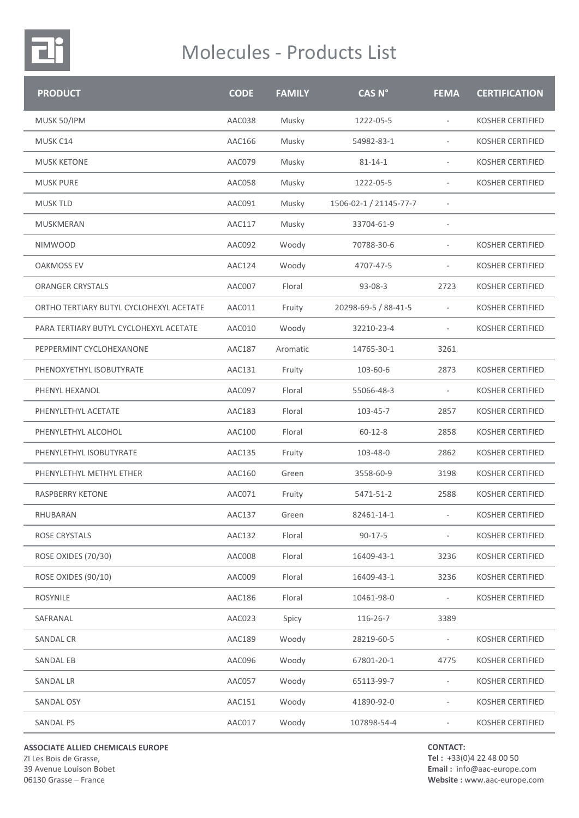

| <b>PRODUCT</b>                          | <b>CODE</b>   | <b>FAMILY</b> | CAS <sub>N°</sub>      | <b>FEMA</b>              | <b>CERTIFICATION</b>    |
|-----------------------------------------|---------------|---------------|------------------------|--------------------------|-------------------------|
| MUSK 50/IPM                             | AAC038        | Musky         | 1222-05-5              | $\overline{\phantom{a}}$ | <b>KOSHER CERTIFIED</b> |
| MUSK C14                                | AAC166        | Musky         | 54982-83-1             |                          | <b>KOSHER CERTIFIED</b> |
| <b>MUSK KETONE</b>                      | AAC079        | Musky         | $81 - 14 - 1$          |                          | <b>KOSHER CERTIFIED</b> |
| <b>MUSK PURE</b>                        | AAC058        | Musky         | 1222-05-5              | $\overline{\phantom{a}}$ | <b>KOSHER CERTIFIED</b> |
| <b>MUSK TLD</b>                         | AAC091        | Musky         | 1506-02-1 / 21145-77-7 |                          |                         |
| MUSKMERAN                               | <b>AAC117</b> | Musky         | 33704-61-9             | ÷,                       |                         |
| <b>NIMWOOD</b>                          | AAC092        | Woody         | 70788-30-6             |                          | <b>KOSHER CERTIFIED</b> |
| <b>OAKMOSS EV</b>                       | AAC124        | Woody         | 4707-47-5              | $\overline{\phantom{a}}$ | <b>KOSHER CERTIFIED</b> |
| <b>ORANGER CRYSTALS</b>                 | AAC007        | Floral        | $93 - 08 - 3$          | 2723                     | <b>KOSHER CERTIFIED</b> |
| ORTHO TERTIARY BUTYL CYCLOHEXYL ACETATE | AAC011        | Fruity        | 20298-69-5 / 88-41-5   | $\overline{\phantom{a}}$ | <b>KOSHER CERTIFIED</b> |
| PARA TERTIARY BUTYL CYCLOHEXYL ACETATE  | AAC010        | Woody         | 32210-23-4             |                          | <b>KOSHER CERTIFIED</b> |
| PEPPERMINT CYCLOHEXANONE                | <b>AAC187</b> | Aromatic      | 14765-30-1             | 3261                     |                         |
| PHENOXYETHYL ISOBUTYRATE                | AAC131        | Fruity        | 103-60-6               | 2873                     | KOSHER CERTIFIED        |
| PHENYL HEXANOL                          | AAC097        | Floral        | 55066-48-3             | $\overline{\phantom{a}}$ | <b>KOSHER CERTIFIED</b> |
| PHENYLETHYL ACETATE                     | AAC183        | Floral        | 103-45-7               | 2857                     | <b>KOSHER CERTIFIED</b> |
| PHENYLETHYL ALCOHOL                     | AAC100        | Floral        | $60 - 12 - 8$          | 2858                     | <b>KOSHER CERTIFIED</b> |
| PHENYLETHYL ISOBUTYRATE                 | AAC135        | Fruity        | 103-48-0               | 2862                     | KOSHER CERTIFIED        |
| PHENYLETHYL METHYL ETHER                | AAC160        | Green         | 3558-60-9              | 3198                     | <b>KOSHER CERTIFIED</b> |
| RASPBERRY KETONE                        | AAC071        | Fruity        | 5471-51-2              | 2588                     | <b>KOSHER CERTIFIED</b> |
| RHUBARAN                                | AAC137        | Green         | 82461-14-1             |                          | <b>KOSHER CERTIFIED</b> |
| ROSE CRYSTALS                           | AAC132        | Floral        | $90 - 17 - 5$          |                          | <b>KOSHER CERTIFIED</b> |
| ROSE OXIDES (70/30)                     | AAC008        | Floral        | 16409-43-1             | 3236                     | <b>KOSHER CERTIFIED</b> |
| ROSE OXIDES (90/10)                     | AAC009        | Floral        | 16409-43-1             | 3236                     | <b>KOSHER CERTIFIED</b> |
| <b>ROSYNILE</b>                         | AAC186        | Floral        | 10461-98-0             |                          | <b>KOSHER CERTIFIED</b> |
| SAFRANAL                                | AAC023        | Spicy         | 116-26-7               | 3389                     |                         |
| <b>SANDAL CR</b>                        | AAC189        | Woody         | 28219-60-5             | $\overline{\phantom{a}}$ | KOSHER CERTIFIED        |
| SANDAL EB                               | AAC096        | Woody         | 67801-20-1             | 4775                     | <b>KOSHER CERTIFIED</b> |
| <b>SANDAL LR</b>                        | AAC057        | Woody         | 65113-99-7             |                          | <b>KOSHER CERTIFIED</b> |
| SANDAL OSY                              | AAC151        | Woody         | 41890-92-0             | $\overline{\phantom{a}}$ | <b>KOSHER CERTIFIED</b> |
| <b>SANDAL PS</b>                        | AAC017        | Woody         | 107898-54-4            | $\overline{\phantom{a}}$ | <b>KOSHER CERTIFIED</b> |

**ASSOCIATE ALLIED CHEMICALS EUROPE** ZI Les Bois de Grasse, 39 Avenue Louison Bobet 06130 Grasse – France

**CONTACT:**